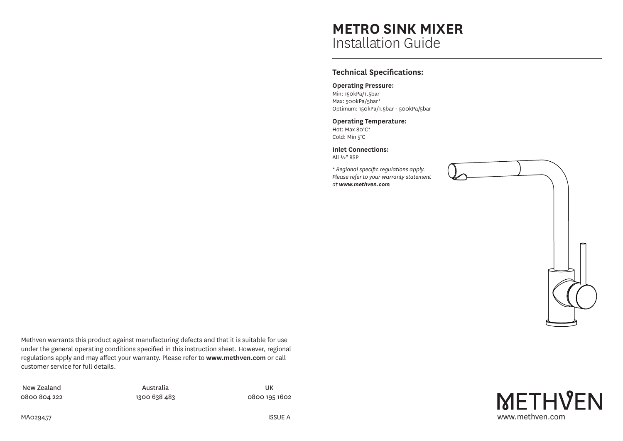# **METRO SINK MIXER** Installation Guide

## **Technical Specifications:**

### **Operating Pressure:**

Min: 150kPa/1.5bar Max: 500kPa/5bar\* Optimum: 150kPa/1.5bar - 500kPa/5bar

#### **Operating Temperature:** Hot: Max 80°C\*

Cold: Min 5°C

**Inlet Connections:** All ½" BSP

*\* Regional specific regulations apply. Please refer to your warranty statement at www.methven.com*



Methven warrants this product against manufacturing defects and that it is suitable for use under the general operating conditions specified in this instruction sheet. However, regional regulations apply and may affect your warranty. Please refer to **www.methven.com** or call customer service for full details.

New Zealand 0800 804 222

Australia 1300 638 483

UK 0800 195 1602